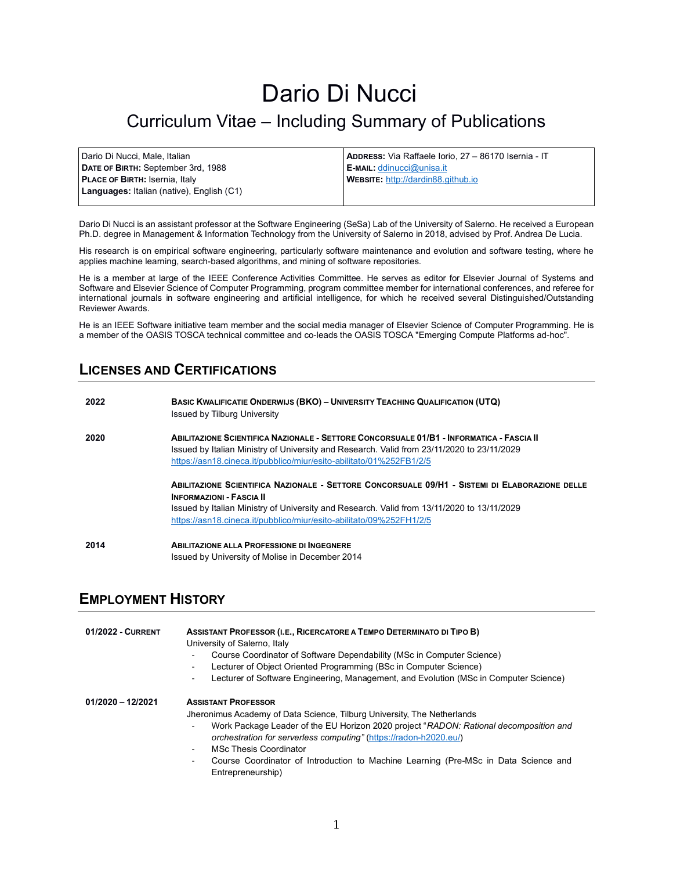# Dario Di Nucci

## Curriculum Vitae – Including Summary of Publications

| Dario Di Nucci, Male, Italian                    | ADDRESS: Via Raffaele Iorio, 27 - 86170 Isernia - IT |
|--------------------------------------------------|------------------------------------------------------|
| DATE OF BIRTH: September 3rd, 1988               | $\mathsf E$ -MAIL: ddinucci@unisa.it                 |
| <b>PLACE OF BIRTH: Isernia, Italy</b>            | <b>WEBSITE:</b> http://dardin88.github.io            |
| <b>Languages:</b> Italian (native), English (C1) |                                                      |
|                                                  |                                                      |

Dario Di Nucci is an assistant professor at the Software Engineering (SeSa) Lab of the University of Salerno. He received a European Ph.D. degree in Management & Information Technology from the University of Salerno in 2018, advised by Prof. Andrea De Lucia.

His research is on empirical software engineering, particularly software maintenance and evolution and software testing, where he applies machine learning, search-based algorithms, and mining of software repositories.

He is a member at large of the IEEE Conference Activities Committee. He serves as editor for Elsevier Journal of Systems and Software and Elsevier Science of Computer Programming, program committee member for international conferences, and referee for international journals in software engineering and artificial intelligence, for which he received several Distinguished/Outstanding Reviewer Awards.

He is an IEEE Software initiative team member and the social media manager of Elsevier Science of Computer Programming. He is a member of the OASIS TOSCA technical committee and co-leads the OASIS TOSCA "Emerging Compute Platforms ad-hoc".

## **LICENSES AND CERTIFICATIONS**

| 2022 | <b>BASIC KWALIFICATIE ONDERWIJS (BKO) - UNIVERSITY TEACHING QUALIFICATION (UTQ)</b><br>Issued by Tilburg University                                                                                                                                                                                    |
|------|--------------------------------------------------------------------------------------------------------------------------------------------------------------------------------------------------------------------------------------------------------------------------------------------------------|
| 2020 | ABILITAZIONE SCIENTIFICA NAZIONALE - SETTORE CONCORSUALE 01/B1 - INFORMATICA - FASCIA II<br>Issued by Italian Ministry of University and Research. Valid from 23/11/2020 to 23/11/2029<br>https://asn18.cineca.it/pubblico/miur/esito-abilitato/01%252FB1/2/5                                          |
|      | ABILITAZIONE SCIENTIFICA NAZIONALE - SETTORE CONCORSUALE 09/H1 - SISTEMI DI ELABORAZIONE DELLE<br><b>INFORMAZIONI - FASCIA II</b><br>Issued by Italian Ministry of University and Research. Valid from 13/11/2020 to 13/11/2029<br>https://asn18.cineca.it/pubblico/miur/esito-abilitato/09%252FH1/2/5 |
| 2014 | ABILITAZIONE ALLA PROFESSIONE DI INGEGNERE<br>Issued by University of Molise in December 2014                                                                                                                                                                                                          |

## **EMPLOYMENT HISTORY**

| 01/2022 - CURRENT   | ASSISTANT PROFESSOR (I.E., RICERCATORE A TEMPO DETERMINATO DI TIPO B)<br>University of Salerno, Italy<br>Course Coordinator of Software Dependability (MSc in Computer Science)<br>۰<br>Lecturer of Object Oriented Programming (BSc in Computer Science)<br>۰<br>Lecturer of Software Engineering, Management, and Evolution (MSc in Computer Science)<br>٠                                                                                              |
|---------------------|-----------------------------------------------------------------------------------------------------------------------------------------------------------------------------------------------------------------------------------------------------------------------------------------------------------------------------------------------------------------------------------------------------------------------------------------------------------|
| $01/2020 - 12/2021$ | <b>ASSISTANT PROFESSOR</b><br>Jheronimus Academy of Data Science, Tilburg University, The Netherlands<br>Work Package Leader of the EU Horizon 2020 project "RADON: Rational decomposition and<br>۰<br>orchestration for serverless computing" (https://radon-h2020.eu/)<br><b>MSc Thesis Coordinator</b><br>$\blacksquare$<br>Course Coordinator of Introduction to Machine Learning (Pre-MSc in Data Science and<br>$\blacksquare$<br>Entrepreneurship) |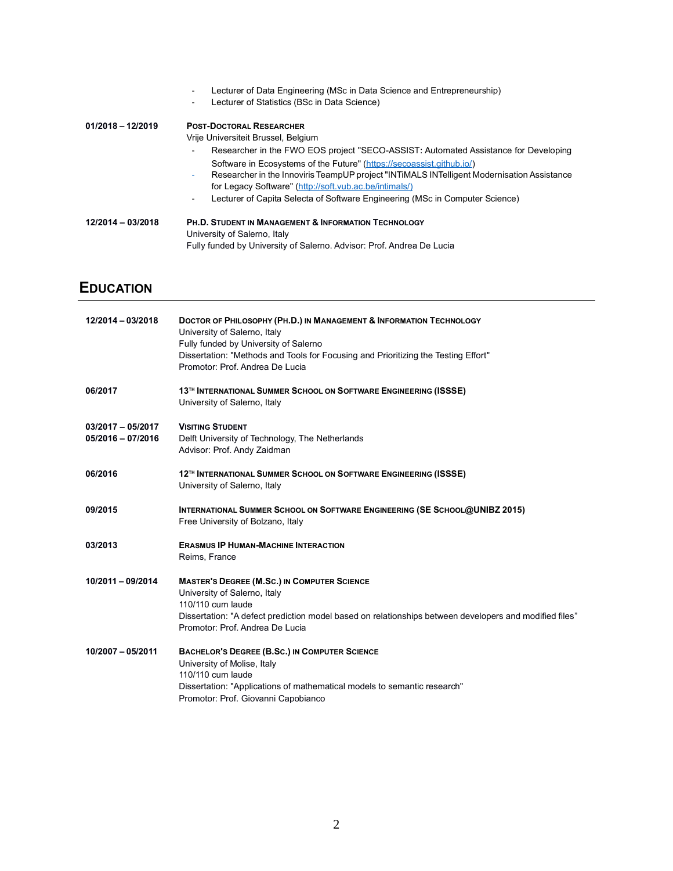|                     | Lecturer of Data Engineering (MSc in Data Science and Entrepreneurship)<br>Lecturer of Statistics (BSc in Data Science) |
|---------------------|-------------------------------------------------------------------------------------------------------------------------|
| $01/2018 - 12/2019$ | <b>POST-DOCTORAL RESEARCHER</b><br>Vrije Universiteit Brussel, Belgium                                                  |
|                     | Researcher in the FWO EOS project "SECO-ASSIST: Automated Assistance for Developing                                     |
|                     | Software in Ecosystems of the Future" (https://secoassist.github.jo/)                                                   |
|                     | Researcher in the Innoviris TeampUP project "INTIMALS INTelligent Modernisation Assistance<br>۰                         |
|                     | for Legacy Software" (http://soft.vub.ac.be/intimals/)                                                                  |
|                     | Lecturer of Capita Selecta of Software Engineering (MSc in Computer Science)<br>$\overline{\phantom{a}}$                |
| 12/2014 - 03/2018   | <b>PH.D. STUDENT IN MANAGEMENT &amp; INFORMATION TECHNOLOGY</b>                                                         |
|                     | University of Salerno, Italy                                                                                            |
|                     | Fully funded by University of Salerno. Advisor: Prof. Andrea De Lucia                                                   |

## **EDUCATION**

| 12/2014 - 03/2018                          | DOCTOR OF PHILOSOPHY (PH.D.) IN MANAGEMENT & INFORMATION TECHNOLOGY<br>University of Salerno, Italy<br>Fully funded by University of Salerno<br>Dissertation: "Methods and Tools for Focusing and Prioritizing the Testing Effort"<br>Promotor: Prof. Andrea De Lucia |
|--------------------------------------------|-----------------------------------------------------------------------------------------------------------------------------------------------------------------------------------------------------------------------------------------------------------------------|
| 06/2017                                    | 13 <sup>TH</sup> INTERNATIONAL SUMMER SCHOOL ON SOFTWARE ENGINEERING (ISSSE)<br>University of Salerno, Italy                                                                                                                                                          |
| $03/2017 - 05/2017$<br>$05/2016 - 07/2016$ | <b>VISITING STUDENT</b><br>Delft University of Technology, The Netherlands<br>Advisor: Prof. Andy Zaidman                                                                                                                                                             |
| 06/2016                                    | 12 <sup>TH</sup> INTERNATIONAL SUMMER SCHOOL ON SOFTWARE ENGINEERING (ISSSE)<br>University of Salerno, Italy                                                                                                                                                          |
| 09/2015                                    | <b>INTERNATIONAL SUMMER SCHOOL ON SOFTWARE ENGINEERING (SE SCHOOL@UNIBZ 2015)</b><br>Free University of Bolzano, Italy                                                                                                                                                |
| 03/2013                                    | <b>ERASMUS IP HUMAN-MACHINE INTERACTION</b><br>Reims, France                                                                                                                                                                                                          |
| 10/2011 - 09/2014                          | <b>MASTER'S DEGREE (M.SC.) IN COMPUTER SCIENCE</b><br>University of Salerno, Italy<br>110/110 cum laude<br>Dissertation: "A defect prediction model based on relationships between developers and modified files"<br>Promotor: Prof. Andrea De Lucia                  |
| 10/2007 - 05/2011                          | BACHELOR'S DEGREE (B.SC.) IN COMPUTER SCIENCE<br>University of Molise, Italy<br>110/110 cum laude<br>Dissertation: "Applications of mathematical models to semantic research"<br>Promotor: Prof. Giovanni Capobianco                                                  |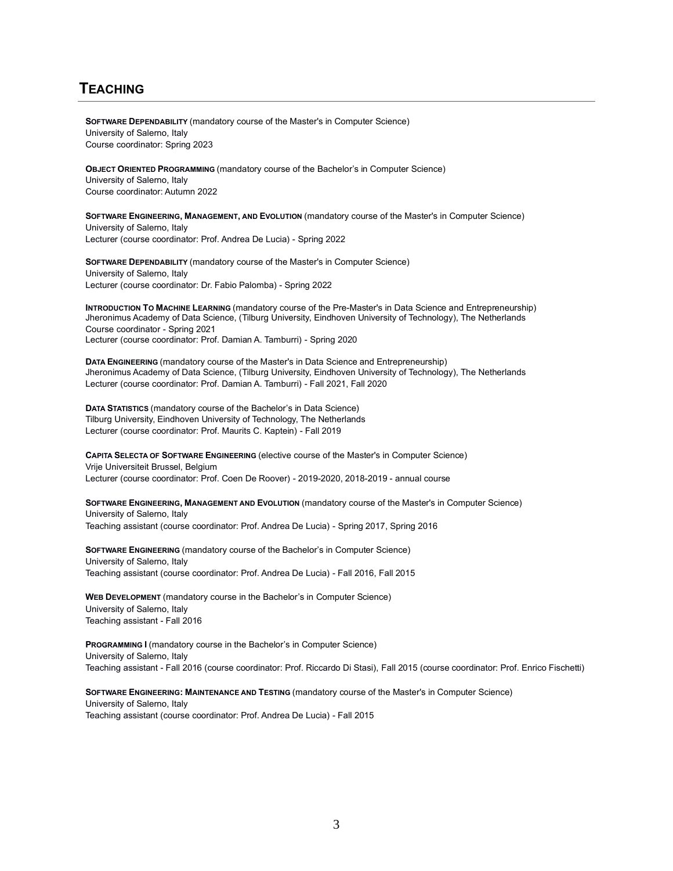## **TEACHING**

**SOFTWARE DEPENDABILITY** (mandatory course of the Master's in Computer Science) University of Salerno, Italy Course coordinator: Spring 2023

**OBJECT ORIENTED PROGRAMMING** (mandatory course of the Bachelor's in Computer Science) University of Salerno, Italy Course coordinator: Autumn 2022

**SOFTWARE ENGINEERING, MANAGEMENT, AND EVOLUTION** (mandatory course of the Master's in Computer Science) University of Salerno, Italy Lecturer (course coordinator: Prof. Andrea De Lucia) - Spring 2022

**SOFTWARE DEPENDABILITY** (mandatory course of the Master's in Computer Science) University of Salerno, Italy Lecturer (course coordinator: Dr. Fabio Palomba) - Spring 2022

**INTRODUCTION TO MACHINE LEARNING** (mandatory course of the Pre-Master's in Data Science and Entrepreneurship) Jheronimus Academy of Data Science, (Tilburg University, Eindhoven University of Technology), The Netherlands Course coordinator - Spring 2021 Lecturer (course coordinator: Prof. Damian A. Tamburri) - Spring 2020

**DATA ENGINEERING** (mandatory course of the Master's in Data Science and Entrepreneurship) Jheronimus Academy of Data Science, (Tilburg University, Eindhoven University of Technology), The Netherlands Lecturer (course coordinator: Prof. Damian A. Tamburri) - Fall 2021, Fall 2020

**DATA STATISTICS** (mandatory course of the Bachelor's in Data Science) Tilburg University, Eindhoven University of Technology, The Netherlands Lecturer (course coordinator: Prof. Maurits C. Kaptein) - Fall 2019

**CAPITA SELECTA OF SOFTWARE ENGINEERING** (elective course of the Master's in Computer Science) Vrije Universiteit Brussel, Belgium Lecturer (course coordinator: Prof. Coen De Roover) - 2019-2020, 2018-2019 - annual course

**SOFTWARE ENGINEERING, MANAGEMENT AND EVOLUTION** (mandatory course of the Master's in Computer Science) University of Salerno, Italy Teaching assistant (course coordinator: Prof. Andrea De Lucia) - Spring 2017, Spring 2016

**SOFTWARE ENGINEERING** (mandatory course of the Bachelor's in Computer Science) University of Salerno, Italy Teaching assistant (course coordinator: Prof. Andrea De Lucia) - Fall 2016, Fall 2015

**WEB DEVELOPMENT** (mandatory course in the Bachelor's in Computer Science) University of Salerno, Italy Teaching assistant - Fall 2016

**PROGRAMMING I** (mandatory course in the Bachelor's in Computer Science) University of Salerno, Italy Teaching assistant - Fall 2016 (course coordinator: Prof. Riccardo Di Stasi), Fall 2015 (course coordinator: Prof. Enrico Fischetti)

**SOFTWARE ENGINEERING: MAINTENANCE AND TESTING** (mandatory course of the Master's in Computer Science) University of Salerno, Italy Teaching assistant (course coordinator: Prof. Andrea De Lucia) - Fall 2015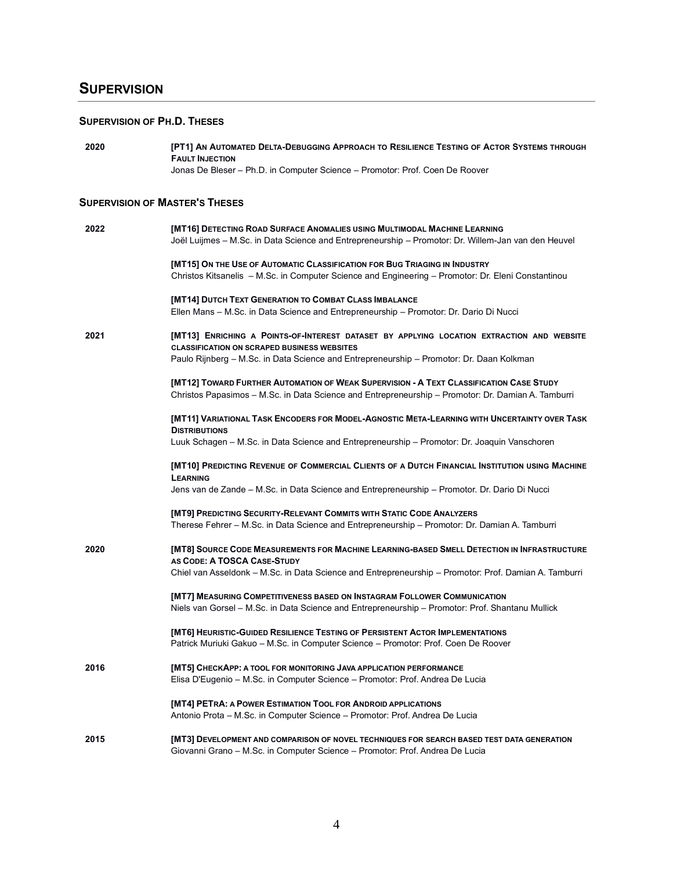## **SUPERVISION**

## **SUPERVISION OF PH.D. THESES**

| 2020 | [PT1] AN AUTOMATED DELTA-DEBUGGING APPROACH TO RESILIENCE TESTING OF ACTOR SYSTEMS THROUGH<br><b>FAULT INJECTION</b>                                                                          |
|------|-----------------------------------------------------------------------------------------------------------------------------------------------------------------------------------------------|
|      | Jonas De Bleser - Ph.D. in Computer Science - Promotor: Prof. Coen De Roover                                                                                                                  |
|      | <b>SUPERVISION OF MASTER'S THESES</b>                                                                                                                                                         |
|      |                                                                                                                                                                                               |
| 2022 | [MT16] DETECTING ROAD SURFACE ANOMALIES USING MULTIMODAL MACHINE LEARNING<br>Joël Luijmes - M.Sc. in Data Science and Entrepreneurship - Promotor: Dr. Willem-Jan van den Heuvel              |
|      | [MT15] ON THE USE OF AUTOMATIC CLASSIFICATION FOR BUG TRIAGING IN INDUSTRY<br>Christos Kitsanelis - M.Sc. in Computer Science and Engineering - Promotor: Dr. Eleni Constantinou              |
|      | [MT14] DUTCH TEXT GENERATION TO COMBAT CLASS IMBALANCE<br>Ellen Mans - M.Sc. in Data Science and Entrepreneurship - Promotor: Dr. Dario Di Nucci                                              |
| 2021 | [MT13] ENRICHING A POINTS-OF-INTEREST DATASET BY APPLYING LOCATION EXTRACTION AND WEBSITE<br><b>CLASSIFICATION ON SCRAPED BUSINESS WEBSITES</b>                                               |
|      | Paulo Rijnberg – M.Sc. in Data Science and Entrepreneurship – Promotor: Dr. Daan Kolkman                                                                                                      |
|      | [MT12] TOWARD FURTHER AUTOMATION OF WEAK SUPERVISION - A TEXT CLASSIFICATION CASE STUDY<br>Christos Papasimos - M.Sc. in Data Science and Entrepreneurship - Promotor: Dr. Damian A. Tamburri |
|      | [MT11] VARIATIONAL TASK ENCODERS FOR MODEL-AGNOSTIC META-LEARNING WITH UNCERTAINTY OVER TASK<br><b>DISTRIBUTIONS</b>                                                                          |
|      | Luuk Schagen – M.Sc. in Data Science and Entrepreneurship – Promotor: Dr. Joaquin Vanschoren                                                                                                  |
|      | [MT10] PREDICTING REVENUE OF COMMERCIAL CLIENTS OF A DUTCH FINANCIAL INSTITUTION USING MACHINE<br><b>LEARNING</b>                                                                             |
|      | Jens van de Zande – M.Sc. in Data Science and Entrepreneurship – Promotor. Dr. Dario Di Nucci                                                                                                 |
|      | [MT9] PREDICTING SECURITY-RELEVANT COMMITS WITH STATIC CODE ANALYZERS                                                                                                                         |
|      | Therese Fehrer - M.Sc. in Data Science and Entrepreneurship - Promotor: Dr. Damian A. Tamburri                                                                                                |
| 2020 | [MT8] SOURCE CODE MEASUREMENTS FOR MACHINE LEARNING-BASED SMELL DETECTION IN INFRASTRUCTURE<br>AS CODE: A TOSCA CASE-STUDY                                                                    |
|      | Chiel van Asseldonk - M.Sc. in Data Science and Entrepreneurship - Promotor: Prof. Damian A. Tamburri                                                                                         |
|      | [MT7] MEASURING COMPETITIVENESS BASED ON INSTAGRAM FOLLOWER COMMUNICATION<br>Niels van Gorsel – M.Sc. in Data Science and Entrepreneurship – Promotor: Prof. Shantanu Mullick                 |
|      | <b>IMT61 HEURISTIC-GUIDED RESILIENCE TESTING OF PERSISTENT ACTOR IMPLEMENTATIONS</b><br>Patrick Muriuki Gakuo - M.Sc. in Computer Science - Promotor: Prof. Coen De Roover                    |
| 2016 | [MT5] CHECKAPP: A TOOL FOR MONITORING JAVA APPLICATION PERFORMANCE<br>Elisa D'Eugenio – M.Sc. in Computer Science – Promotor: Prof. Andrea De Lucia                                           |
|      | [MT4] PETRA: A POWER ESTIMATION TOOL FOR ANDROID APPLICATIONS<br>Antonio Prota - M.Sc. in Computer Science - Promotor: Prof. Andrea De Lucia                                                  |
| 2015 | [MT3] DEVELOPMENT AND COMPARISON OF NOVEL TECHNIQUES FOR SEARCH BASED TEST DATA GENERATION<br>Giovanni Grano - M.Sc. in Computer Science - Promotor: Prof. Andrea De Lucia                    |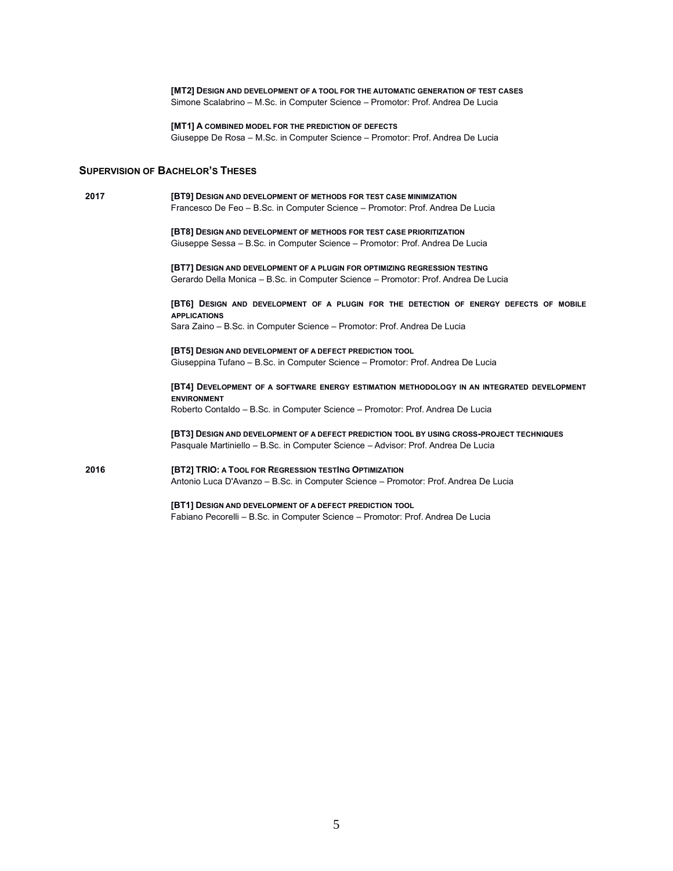**[MT2] DESIGN AND DEVELOPMENT OF A TOOL FOR THE AUTOMATIC GENERATION OF TEST CASES** Simone Scalabrino – M.Sc. in Computer Science – Promotor: Prof. Andrea De Lucia

## **[MT1] A COMBINED MODEL FOR THE PREDICTION OF DEFECTS**

Giuseppe De Rosa – M.Sc. in Computer Science – Promotor: Prof. Andrea De Lucia

## **SUPERVISION OF BACHELOR'S THESES**

| 2017 | <b>[BT9] DESIGN AND DEVELOPMENT OF METHODS FOR TEST CASE MINIMIZATION</b>                                        |
|------|------------------------------------------------------------------------------------------------------------------|
|      | Francesco De Feo - B.Sc. in Computer Science - Promotor: Prof. Andrea De Lucia                                   |
|      | [BT8] DESIGN AND DEVELOPMENT OF METHODS FOR TEST CASE PRIORITIZATION                                             |
|      | Giuseppe Sessa - B.Sc. in Computer Science - Promotor: Prof. Andrea De Lucia                                     |
|      | <b>[BT7] DESIGN AND DEVELOPMENT OF A PLUGIN FOR OPTIMIZING REGRESSION TESTING</b>                                |
|      | Gerardo Della Monica - B.Sc. in Computer Science - Promotor: Prof. Andrea De Lucia                               |
|      | [BT6] DESIGN AND DEVELOPMENT OF A PLUGIN FOR THE DETECTION OF ENERGY DEFECTS OF MOBILE<br><b>APPLICATIONS</b>    |
|      | Sara Zaino – B.Sc. in Computer Science – Promotor: Prof. Andrea De Lucia                                         |
|      | [BT5] DESIGN AND DEVELOPMENT OF A DEFECT PREDICTION TOOL                                                         |
|      | Giuseppina Tufano – B.Sc. in Computer Science – Promotor: Prof. Andrea De Lucia                                  |
|      | [BT4] DEVELOPMENT OF A SOFTWARE ENERGY ESTIMATION METHODOLOGY IN AN INTEGRATED DEVELOPMENT<br><b>ENVIRONMENT</b> |
|      | Roberto Contaldo – B.Sc. in Computer Science – Promotor: Prof. Andrea De Lucia                                   |
|      | [BT3] DESIGN AND DEVELOPMENT OF A DEFECT PREDICTION TOOL BY USING CROSS-PROJECT TECHNIQUES                       |
|      | Pasquale Martiniello – B.Sc. in Computer Science – Advisor: Prof. Andrea De Lucia                                |
| 2016 | [BT2] TRIO: A TOOL FOR REGRESSION TESTING OPTIMIZATION                                                           |
|      | Antonio Luca D'Avanzo – B.Sc. in Computer Science – Promotor: Prof. Andrea De Lucia                              |
|      | [BT1] DESIGN AND DEVELOPMENT OF A DEFECT PREDICTION TOOL                                                         |
|      | Fabiano Pecorelli - B.Sc. in Computer Science - Promotor: Prof. Andrea De Lucia                                  |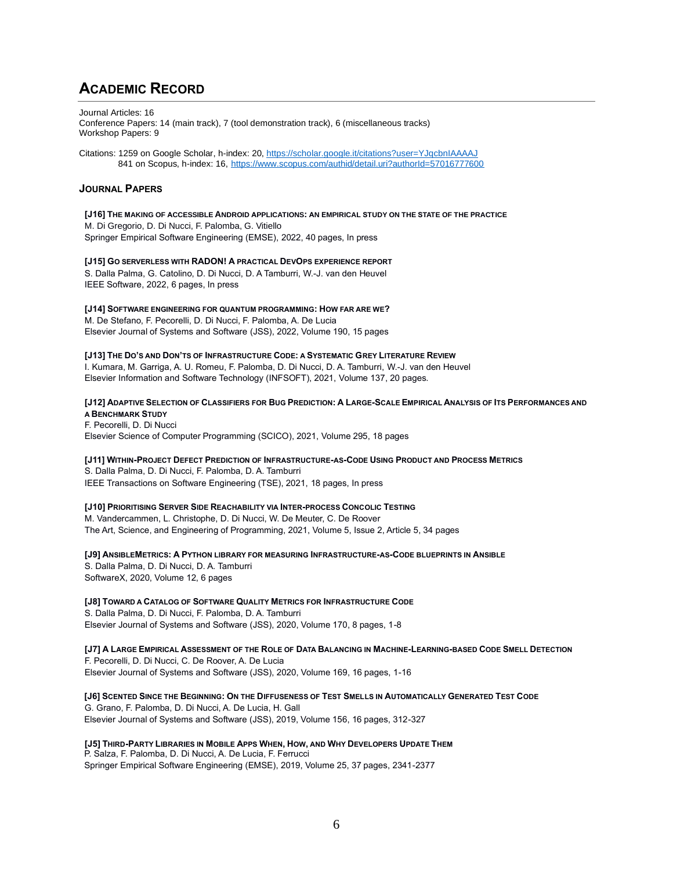## **ACADEMIC RECORD**

Journal Articles: 16 Conference Papers: 14 (main track), 7 (tool demonstration track), 6 (miscellaneous tracks) Workshop Papers: 9

Citations: 1259 on Google Scholar, h-index: 20[, https://scholar.google.it/citations?user=YJqcbnIAAAAJ](https://scholar.google.it/citations?user=YJqcbnIAAAAJ) 841 on Scopus, h-index: 16, <https://www.scopus.com/authid/detail.uri?authorId=57016777600>

## **JOURNAL PAPERS**

#### **[J16] THE MAKING OF ACCESSIBLE ANDROID APPLICATIONS: AN EMPIRICAL STUDY ON THE STATE OF THE PRACTICE**

M. Di Gregorio, D. Di Nucci, F. Palomba, G. Vitiello Springer Empirical Software Engineering (EMSE), 2022, 40 pages, In press

#### **[J15] GO SERVERLESS WITH RADON! A PRACTICAL DEVOPS EXPERIENCE REPORT**

S. Dalla Palma, G. Catolino, D. Di Nucci, D. A Tamburri, W.-J. van den Heuvel IEEE Software, 2022, 6 pages, In press

## **[J14] SOFTWARE ENGINEERING FOR QUANTUM PROGRAMMING: HOW FAR ARE WE?**

M. De Stefano, F. Pecorelli, D. Di Nucci, F. Palomba, A. De Lucia Elsevier Journal of Systems and Software (JSS), 2022, Volume 190, 15 pages

### [J13] THE DO'S AND DON'TS OF INFRASTRUCTURE CODE: A SYSTEMATIC GREY LITERATURE REVIEW

I. Kumara, M. Garriga, A. U. Romeu, F. Palomba, D. Di Nucci, D. A. Tamburri, W.-J. van den Heuvel Elsevier Information and Software Technology (INFSOFT), 2021, Volume 137, 20 pages.

### [J12] ADAPTIVE SELECTION OF CLASSIFIERS FOR BUG PREDICTION: A LARGE-SCALE EMPIRICAL ANALYSIS OF ITS PERFORMANCES AND **A BENCHMARK STUDY**

F. Pecorelli, D. Di Nucci Elsevier Science of Computer Programming (SCICO), 2021, Volume 295, 18 pages

#### [J11] WITHIN-PROJECT DEFECT PREDICTION OF INFRASTRUCTURE-AS-CODE USING PRODUCT AND PROCESS METRICS

S. Dalla Palma, D. Di Nucci, F. Palomba, D. A. Tamburri IEEE Transactions on Software Engineering (TSE), 2021, 18 pages, In press

## **[J10] PRIORITISING SERVER SIDE REACHABILITY VIA INTER-PROCESS CONCOLIC TESTING**

M. Vandercammen, L. Christophe, D. Di Nucci, W. De Meuter, C. De Roover The Art, Science, and Engineering of Programming, 2021, Volume 5, Issue 2, Article 5, 34 pages

## **[J9] ANSIBLEMETRICS: A PYTHON LIBRARY FOR MEASURING INFRASTRUCTURE-AS-CODE BLUEPRINTS IN ANSIBLE** S. Dalla Palma, D. Di Nucci, D. A. Tamburri

SoftwareX, 2020, Volume 12, 6 pages

## **[J8] TOWARD A CATALOG OF SOFTWARE QUALITY METRICS FOR INFRASTRUCTURE CODE**

S. Dalla Palma, D. Di Nucci, F. Palomba, D. A. Tamburri Elsevier Journal of Systems and Software (JSS), 2020, Volume 170, 8 pages, 1-8

### [J7] A LARGE EMPIRICAL ASSESSMENT OF THE ROLE OF DATA BALANCING IN MACHINE-LEARNING-BASED CODE SMELL DETECTION F. Pecorelli, D. Di Nucci, C. De Roover, A. De Lucia Elsevier Journal of Systems and Software (JSS), 2020, Volume 169, 16 pages, 1-16

[J6] SCENTED SINCE THE BEGINNING: ON THE DIFFUSENESS OF TEST SMELLS IN AUTOMATICALLY GENERATED TEST CODE G. Grano, F. Palomba, D. Di Nucci, A. De Lucia, H. Gall Elsevier Journal of Systems and Software (JSS), 2019, Volume 156, 16 pages, 312-327

## [J5] THIRD-PARTY LIBRARIES IN MOBILE APPS WHEN, HOW, AND WHY DEVELOPERS UPDATE THEM

P. Salza, F. Palomba, D. Di Nucci, A. De Lucia, F. Ferrucci Springer Empirical Software Engineering (EMSE), 2019, Volume 25, 37 pages, 2341-2377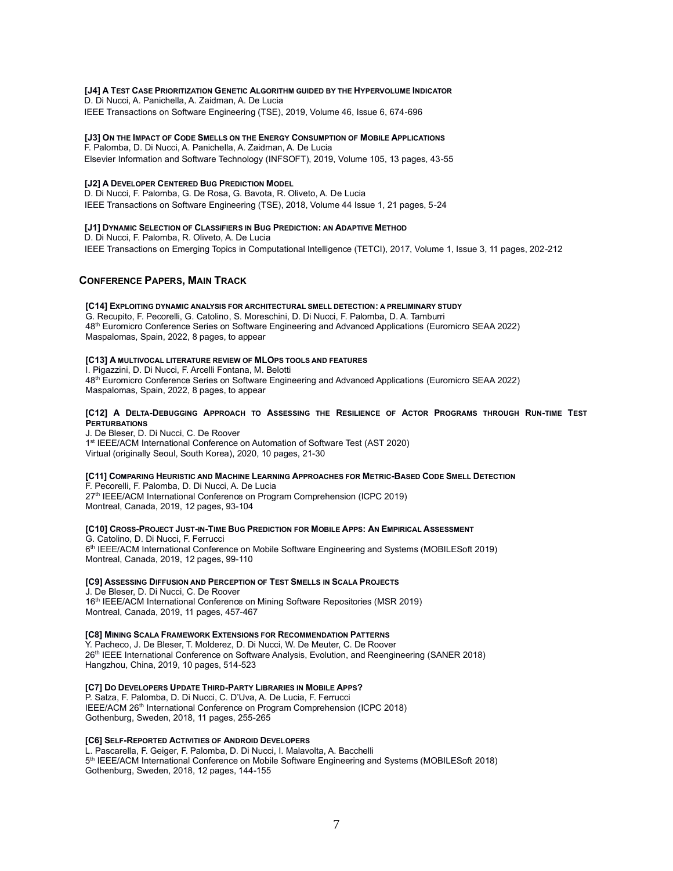#### **[J4] A TEST CASE PRIORITIZATION GENETIC ALGORITHM GUIDED BY THE HYPERVOLUME INDICATOR**

D. Di Nucci, A. Panichella, A. Zaidman, A. De Lucia IEEE Transactions on Software Engineering (TSE), 2019, Volume 46, Issue 6, 674-696

#### **[J3] ON THE IMPACT OF CODE SMELLS ON THE ENERGY CONSUMPTION OF MOBILE APPLICATIONS**

F. Palomba, D. Di Nucci, A. Panichella, A. Zaidman, A. De Lucia Elsevier Information and Software Technology (INFSOFT), 2019, Volume 105, 13 pages, 43-55

#### **[J2] A DEVELOPER CENTERED BUG PREDICTION MODEL**

D. Di Nucci, F. Palomba, G. De Rosa, G. Bavota, R. Oliveto, A. De Lucia IEEE Transactions on Software Engineering (TSE), 2018, Volume 44 Issue 1, 21 pages, 5-24

### **[J1] DYNAMIC SELECTION OF CLASSIFIERS IN BUG PREDICTION: AN ADAPTIVE METHOD**

D. Di Nucci, F. Palomba, R. Oliveto, A. De Lucia IEEE Transactions on Emerging Topics in Computational Intelligence (TETCI), 2017, Volume 1, Issue 3, 11 pages, 202-212

### **CONFERENCE PAPERS, MAIN TRACK**

#### **[C14] EXPLOITING DYNAMIC ANALYSIS FOR ARCHITECTURAL SMELL DETECTION: A PRELIMINARY STUDY** G. Recupito, F. Pecorelli, G. Catolino, S. Moreschini, D. Di Nucci, F. Palomba, D. A. Tamburri 48th Euromicro Conference Series on Software Engineering and Advanced Applications (Euromicro SEAA 2022) Maspalomas, Spain, 2022, 8 pages, to appear

#### **[C13] A MULTIVOCAL LITERATURE REVIEW OF MLOPS TOOLS AND FEATURES**

I. Pigazzini, D. Di Nucci, F. Arcelli Fontana, M. Belotti 48th Euromicro Conference Series on Software Engineering and Advanced Applications (Euromicro SEAA 2022) Maspalomas, Spain, 2022, 8 pages, to appear

#### [C12] A DELTA-DEBUGGING APPROACH TO ASSESSING THE RESILIENCE OF ACTOR PROGRAMS THROUGH RUN-TIME TEST **PERTURBATIONS**

J. De Bleser, D. Di Nucci, C. De Roover 1<sup>st</sup> IEEE/ACM International Conference on Automation of Software Test (AST 2020) Virtual (originally Seoul, South Korea), 2020, 10 pages, 21-30

#### [C11] COMPARING HEURISTIC AND MACHINE LEARNING APPROACHES FOR METRIC-BASED CODE SMELL DETECTION

F. Pecorelli, F. Palomba, D. Di Nucci, A. De Lucia 27<sup>th</sup> IEEE/ACM International Conference on Program Comprehension (ICPC 2019) Montreal, Canada, 2019, 12 pages, 93-104

#### **[C10] CROSS-PROJECT JUST-IN-TIME BUG PREDICTION FOR MOBILE APPS: AN EMPIRICAL ASSESSMENT** G. Catolino, D. Di Nucci, F. Ferrucci

6 th IEEE/ACM International Conference on Mobile Software Engineering and Systems (MOBILESoft 2019) Montreal, Canada, 2019, 12 pages, 99-110

#### **[C9] ASSESSING DIFFUSION AND PERCEPTION OF TEST SMELLS IN SCALA PROJECTS**

J. De Bleser, D. Di Nucci, C. De Roover 16<sup>th</sup> IEEE/ACM International Conference on Mining Software Repositories (MSR 2019) Montreal, Canada, 2019, 11 pages, 457-467

#### **[C8] MINING SCALA FRAMEWORK EXTENSIONS FOR RECOMMENDATION PATTERNS**

Y. Pacheco, J. De Bleser, T. Molderez, D. Di Nucci, W. De Meuter, C. De Roover 26th IEEE International Conference on Software Analysis, Evolution, and Reengineering (SANER 2018) Hangzhou, China, 2019, 10 pages, 514-523

#### **[C7] DO DEVELOPERS UPDATE THIRD-PARTY LIBRARIES IN MOBILE APPS?**

P. Salza, F. Palomba, D. Di Nucci, C. D'Uva, A. De Lucia, F. Ferrucci IEEE/ACM 26<sup>th</sup> International Conference on Program Comprehension (ICPC 2018) Gothenburg, Sweden, 2018, 11 pages, 255-265

#### **[C6] SELF-REPORTED ACTIVITIES OF ANDROID DEVELOPERS**

L. Pascarella, F. Geiger, F. Palomba, D. Di Nucci, I. Malavolta, A. Bacchelli 5<sup>th</sup> IEEE/ACM International Conference on Mobile Software Engineering and Systems (MOBILESoft 2018) Gothenburg, Sweden, 2018, 12 pages, 144-155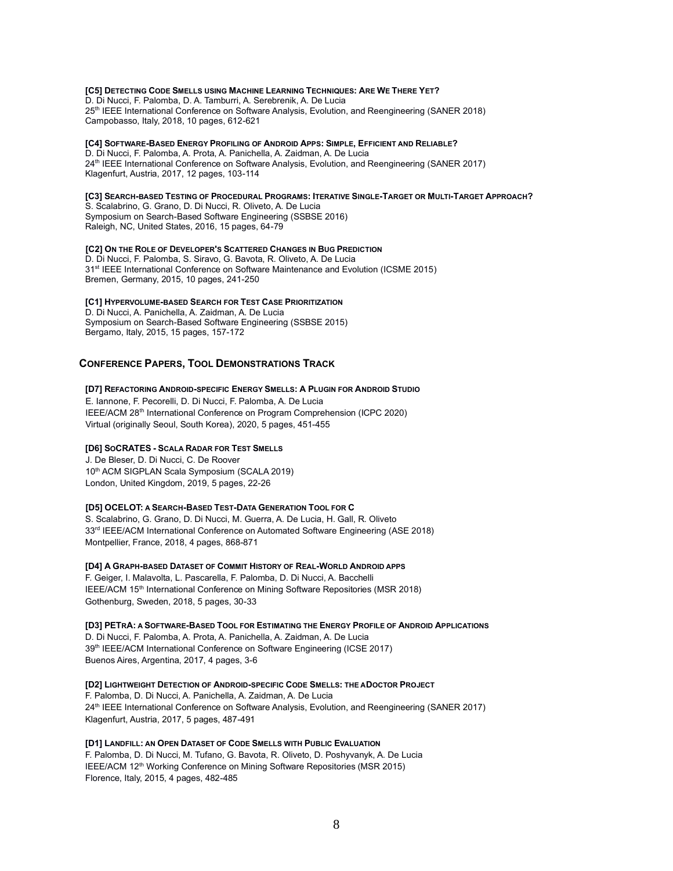## [C5] DETECTING CODE SMELLS USING MACHINE LEARNING TECHNIQUES: ARE WE THERE YET? D. Di Nucci, F. Palomba, D. A. Tamburri, A. Serebrenik, A. De Lucia

25<sup>th</sup> IEEE International Conference on Software Analysis, Evolution, and Reengineering (SANER 2018) Campobasso, Italy, 2018, 10 pages, 612-621

#### [C4] SOFTWARE-BASED ENERGY PROFILING OF ANDROID APPS: SIMPLE, EFFICIENT AND RELIABLE? D. Di Nucci, F. Palomba, A. Prota, A. Panichella, A. Zaidman, A. De Lucia 24th IEEE International Conference on Software Analysis, Evolution, and Reengineering (SANER 2017) Klagenfurt, Austria, 2017, 12 pages, 103-114

#### [C3] SEARCH-BASED TESTING OF PROCEDURAL PROGRAMS: ITERATIVE SINGLE-TARGET OR MULTI-TARGET APPROACH? S. Scalabrino, G. Grano, D. Di Nucci, R. Oliveto, A. De Lucia Symposium on Search-Based Software Engineering (SSBSE 2016) Raleigh, NC, United States, 2016, 15 pages, 64-79

## **[C2] ON THE ROLE OF DEVELOPER'S SCATTERED CHANGES IN BUG PREDICTION** D. Di Nucci, F. Palomba, S. Siravo, G. Bavota, R. Oliveto, A. De Lucia

31<sup>st</sup> IEEE International Conference on Software Maintenance and Evolution (ICSME 2015) Bremen, Germany, 2015, 10 pages, 241-250

## **[C1] HYPERVOLUME-BASED SEARCH FOR TEST CASE PRIORITIZATION**

D. Di Nucci, A. Panichella, A. Zaidman, A. De Lucia Symposium on Search-Based Software Engineering (SSBSE 2015) Bergamo, Italy, 2015, 15 pages, 157-172

## **CONFERENCE PAPERS, TOOL DEMONSTRATIONS TRACK**

## **[D7] REFACTORING ANDROID-SPECIFIC ENERGY SMELLS: A PLUGIN FOR ANDROID STUDIO**

E. Iannone, F. Pecorelli, D. Di Nucci, F. Palomba, A. De Lucia IEEE/ACM 28<sup>th</sup> International Conference on Program Comprehension (ICPC 2020) Virtual (originally Seoul, South Korea), 2020, 5 pages, 451-455

## **[D6] SOCRATES - SCALA RADAR FOR TEST SMELLS**

J. De Bleser, D. Di Nucci, C. De Roover 10<sup>th</sup> ACM SIGPLAN Scala Symposium (SCALA 2019) London, United Kingdom, 2019, 5 pages, 22-26

## **[D5] OCELOT: A SEARCH-BASED TEST-DATA GENERATION TOOL FOR C**

S. Scalabrino, G. Grano, D. Di Nucci, M. Guerra, A. De Lucia, H. Gall, R. Oliveto 33<sup>rd</sup> IEEE/ACM International Conference on Automated Software Engineering (ASE 2018) Montpellier, France, 2018, 4 pages, 868-871

## **[D4] A GRAPH-BASED DATASET OF COMMIT HISTORY OF REAL-WORLD ANDROID APPS**

F. Geiger, I. Malavolta, L. Pascarella, F. Palomba, D. Di Nucci, A. Bacchelli IEEE/ACM 15th International Conference on Mining Software Repositories (MSR 2018) Gothenburg, Sweden, 2018, 5 pages, 30-33

## [D3] PETRA: A SOFTWARE-BASED TOOL FOR ESTIMATING THE ENERGY PROFILE OF ANDROID APPLICATIONS

D. Di Nucci, F. Palomba, A. Prota, A. Panichella, A. Zaidman, A. De Lucia 39<sup>th</sup> IEEE/ACM International Conference on Software Engineering (ICSE 2017) Buenos Aires, Argentina, 2017, 4 pages, 3-6

**[D2] LIGHTWEIGHT DETECTION OF ANDROID-SPECIFIC CODE SMELLS: THE ADOCTOR PROJECT** F. Palomba, D. Di Nucci, A. Panichella, A. Zaidman, A. De Lucia

24<sup>th</sup> IEEE International Conference on Software Analysis, Evolution, and Reengineering (SANER 2017) Klagenfurt, Austria, 2017, 5 pages, 487-491

## **[D1] LANDFILL: AN OPEN DATASET OF CODE SMELLS WITH PUBLIC EVALUATION**

F. Palomba, D. Di Nucci, M. Tufano, G. Bavota, R. Oliveto, D. Poshyvanyk, A. De Lucia IEEE/ACM 12<sup>th</sup> Working Conference on Mining Software Repositories (MSR 2015) Florence, Italy, 2015, 4 pages, 482-485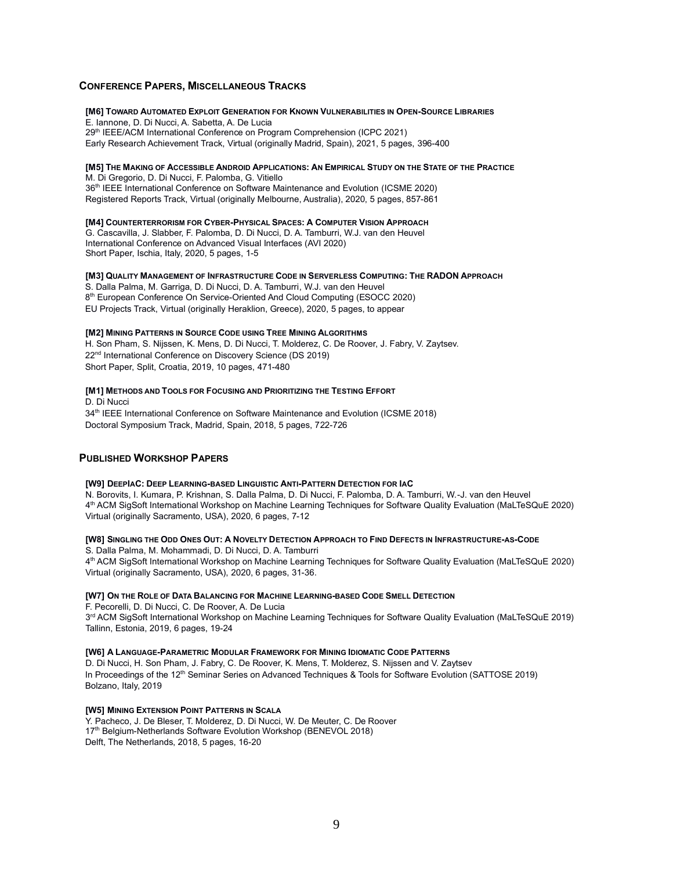### **CONFERENCE PAPERS, MISCELLANEOUS TRACKS**

#### **[M6] TOWARD AUTOMATED EXPLOIT GENERATION FOR KNOWN VULNERABILITIES IN OPEN-SOURCE LIBRARIES**

E. Iannone, D. Di Nucci, A. Sabetta, A. De Lucia 29<sup>th</sup> IEEE/ACM International Conference on Program Comprehension (ICPC 2021) Early Research Achievement Track, Virtual (originally Madrid, Spain), 2021, 5 pages, 396-400

#### [M5] THE MAKING OF ACCESSIBLE ANDROID APPLICATIONS: AN EMPIRICAL STUDY ON THE STATE OF THE PRACTICE

M. Di Gregorio, D. Di Nucci, F. Palomba, G. Vitiello 36<sup>th</sup> IEEE International Conference on Software Maintenance and Evolution (ICSME 2020) Registered Reports Track, Virtual (originally Melbourne, Australia), 2020, 5 pages, 857-861

#### **[M4] COUNTERTERRORISM FOR CYBER-PHYSICAL SPACES: A COMPUTER VISION APPROACH**

G. Cascavilla, J. Slabber, F. Palomba, D. Di Nucci, D. A. Tamburri, W.J. van den Heuvel International Conference on Advanced Visual Interfaces (AVI 2020) Short Paper, Ischia, Italy, 2020, 5 pages, 1-5

#### **[M3] QUALITY MANAGEMENT OF INFRASTRUCTURE CODE IN SERVERLESS COMPUTING: THE RADON APPROACH**

S. Dalla Palma, M. Garriga, D. Di Nucci, D. A. Tamburri, W.J. van den Heuvel 8<sup>th</sup> European Conference On Service-Oriented And Cloud Computing (ESOCC 2020) EU Projects Track, Virtual (originally Heraklion, Greece), 2020, 5 pages, to appear

#### **[M2] MINING PATTERNS IN SOURCE CODE USING TREE MINING ALGORITHMS**

H. Son Pham, S. Nijssen, K. Mens, D. Di Nucci, T. Molderez, C. De Roover, J. Fabry, V. Zaytsev. 22nd International Conference on Discovery Science (DS 2019) Short Paper, Split, Croatia, 2019, 10 pages, 471-480

#### **[M1] METHODS AND TOOLS FOR FOCUSING AND PRIORITIZING THE TESTING EFFORT**

D. Di Nucci 34<sup>th</sup> IEEE International Conference on Software Maintenance and Evolution (ICSME 2018) Doctoral Symposium Track, Madrid, Spain, 2018, 5 pages, 722-726

## **PUBLISHED WORKSHOP PAPERS**

#### [W9] DEEPIAC: DEEP LEARNING-BASED LINGUISTIC ANTI-PATTERN DETECTION FOR IAC

N. Borovits, I. Kumara, P. Krishnan, S. Dalla Palma, D. Di Nucci, F. Palomba, D. A. Tamburri, W.-J. van den Heuvel 4 th ACM SigSoft International Workshop on Machine Learning Techniques for Software Quality Evaluation (MaLTeSQuE 2020) Virtual (originally Sacramento, USA), 2020, 6 pages, 7-12

#### [W8] SINGLING THE ODD ONES OUT: A NOVELTY DETECTION APPROACH TO FIND DEFECTS IN INFRASTRUCTURE-AS-CODE

S. Dalla Palma, M. Mohammadi, D. Di Nucci, D. A. Tamburri 4 th ACM SigSoft International Workshop on Machine Learning Techniques for Software Quality Evaluation (MaLTeSQuE 2020) Virtual (originally Sacramento, USA), 2020, 6 pages, 31-36.

#### **[W7] ON THE ROLE OF DATA BALANCING FOR MACHINE LEARNING-BASED CODE SMELL DETECTION**

F. Pecorelli, D. Di Nucci, C. De Roover, A. De Lucia 3 rd ACM SigSoft International Workshop on Machine Learning Techniques for Software Quality Evaluation (MaLTeSQuE 2019) Tallinn, Estonia, 2019, 6 pages, 19-24

#### **[W6] A LANGUAGE-PARAMETRIC MODULAR FRAMEWORK FOR MINING IDIOMATIC CODE PATTERNS**

D. Di Nucci, H. Son Pham, J. Fabry, C. De Roover, K. Mens, T. Molderez, S. Nijssen and V. Zaytsev In Proceedings of the 12<sup>th</sup> Seminar Series on Advanced Techniques & Tools for Software Evolution (SATTOSE 2019) Bolzano, Italy, 2019

### **[W5] MINING EXTENSION POINT PATTERNS IN SCALA**

Y. Pacheco, J. De Bleser, T. Molderez, D. Di Nucci, W. De Meuter, C. De Roover 17<sup>th</sup> Belgium-Netherlands Software Evolution Workshop (BENEVOL 2018) Delft, The Netherlands, 2018, 5 pages, 16-20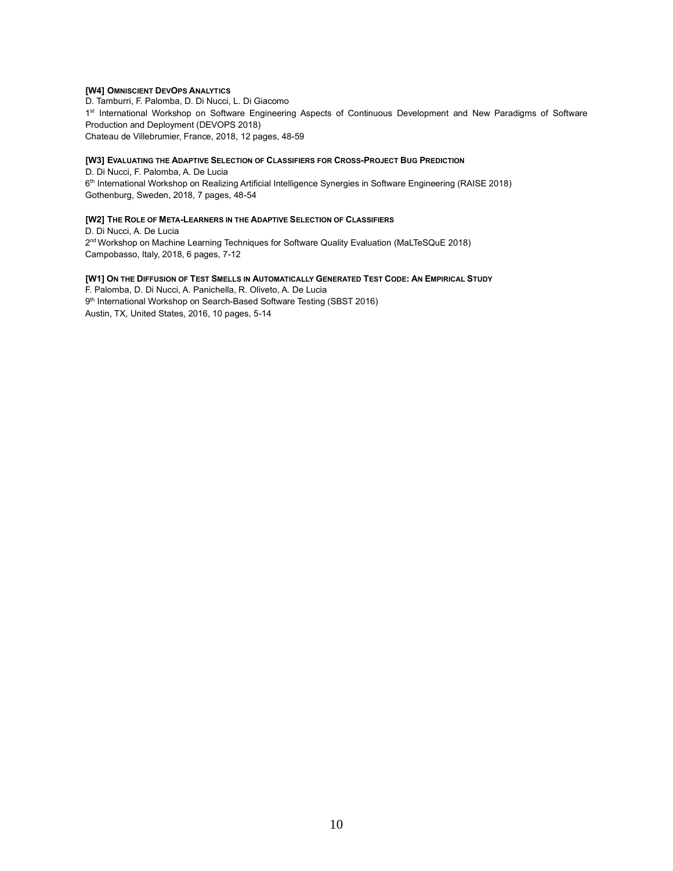## **[W4] OMNISCIENT DEVOPS ANALYTICS**

D. Tamburri, F. Palomba, D. Di Nucci, L. Di Giacomo 1<sup>st</sup> International Workshop on Software Engineering Aspects of Continuous Development and New Paradigms of Software Production and Deployment (DEVOPS 2018) Chateau de Villebrumier, France, 2018, 12 pages, 48-59

#### **[W3] EVALUATING THE ADAPTIVE SELECTION OF CLASSIFIERS FOR CROSS-PROJECT BUG PREDICTION**

D. Di Nucci, F. Palomba, A. De Lucia 6<sup>th</sup> International Workshop on Realizing Artificial Intelligence Synergies in Software Engineering (RAISE 2018) Gothenburg, Sweden, 2018, 7 pages, 48-54

#### **[W2] THE ROLE OF META-LEARNERS IN THE ADAPTIVE SELECTION OF CLASSIFIERS**

D. Di Nucci, A. De Lucia 2 nd Workshop on Machine Learning Techniques for Software Quality Evaluation (MaLTeSQuE 2018) Campobasso, Italy, 2018, 6 pages, 7-12

## [W1] ON THE DIFFUSION OF TEST SMELLS IN AUTOMATICALLY GENERATED TEST CODE: AN EMPIRICAL STUDY

F. Palomba, D. Di Nucci, A. Panichella, R. Oliveto, A. De Lucia 9<sup>th</sup> International Workshop on Search-Based Software Testing (SBST 2016) Austin, TX, United States, 2016, 10 pages, 5-14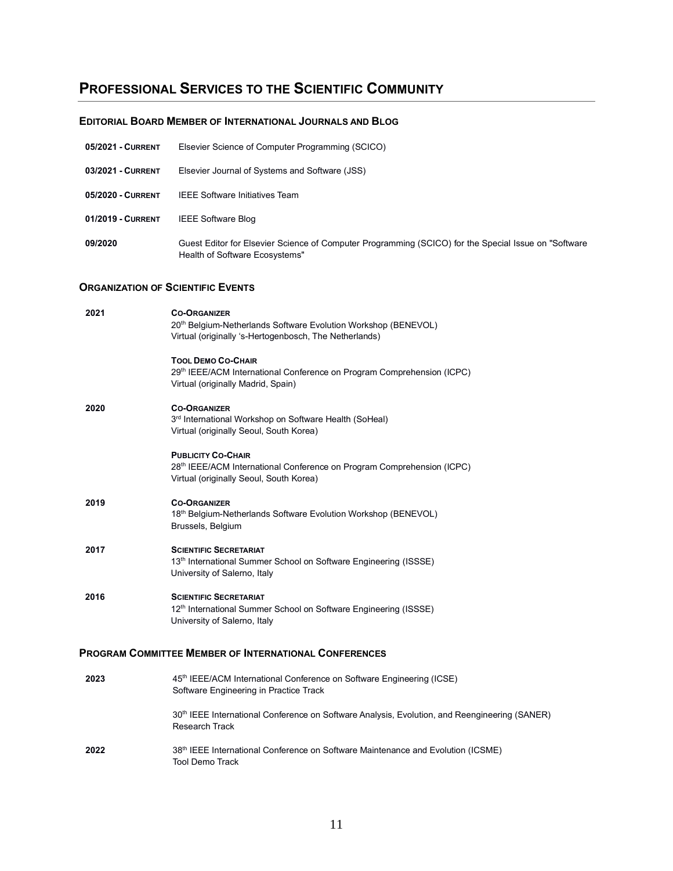## **PROFESSIONAL SERVICES TO THE SCIENTIFIC COMMUNITY**

## **EDITORIAL BOARD MEMBER OF INTERNATIONAL JOURNALS AND BLOG**

| <b>05/2021 - CURRENT</b> | Elsevier Science of Computer Programming (SCICO)                                                                                       |
|--------------------------|----------------------------------------------------------------------------------------------------------------------------------------|
| 03/2021 - CURRENT        | Elsevier Journal of Systems and Software (JSS)                                                                                         |
| 05/2020 - CURRENT        | <b>IEEE Software Initiatives Team</b>                                                                                                  |
| 01/2019 - CURRENT        | <b>IEEE Software Blog</b>                                                                                                              |
| 09/2020                  | Guest Editor for Elsevier Science of Computer Programming (SCICO) for the Special Issue on "Software<br>Health of Software Ecosystems" |

## **ORGANIZATION OF SCIENTIFIC EVENTS**

| 2021 | <b>CO-ORGANIZER</b><br>20th Belgium-Netherlands Software Evolution Workshop (BENEVOL)<br>Virtual (originally 's-Hertogenbosch, The Netherlands) |
|------|-------------------------------------------------------------------------------------------------------------------------------------------------|
|      | <b>TOOL DEMO CO-CHAIR</b><br>29th IEEE/ACM International Conference on Program Comprehension (ICPC)<br>Virtual (originally Madrid, Spain)       |
| 2020 | <b>CO-ORGANIZER</b><br>3rd International Workshop on Software Health (SoHeal)<br>Virtual (originally Seoul, South Korea)                        |
|      | <b>PUBLICITY CO-CHAIR</b><br>28th IEEE/ACM International Conference on Program Comprehension (ICPC)<br>Virtual (originally Seoul, South Korea)  |
| 2019 | <b>CO-ORGANIZER</b><br>18th Belgium-Netherlands Software Evolution Workshop (BENEVOL)<br>Brussels, Belgium                                      |
| 2017 | <b>SCIENTIFIC SECRETARIAT</b><br>13 <sup>th</sup> International Summer School on Software Engineering (ISSSE)<br>University of Salerno, Italy   |
| 2016 | <b>SCIENTIFIC SECRETARIAT</b><br>12 <sup>th</sup> International Summer School on Software Engineering (ISSSE)<br>University of Salerno, Italy   |
|      | PROGRAM COMMITTEE MEMBER OF INTERNATIONAL CONFERENCES                                                                                           |
| 2023 | 45th IEEE/ACM International Conference on Software Engineering (ICSE)<br>Software Engineering in Practice Track                                 |
|      | 30 <sup>th</sup> IEEE International Conference on Software Analysis, Evolution, and Reengineering (SANER)<br><b>Research Track</b>              |
|      |                                                                                                                                                 |

**2022** 38<sup>th</sup> IEEE International Conference on Software Maintenance and Evolution (ICSME) Tool Demo Track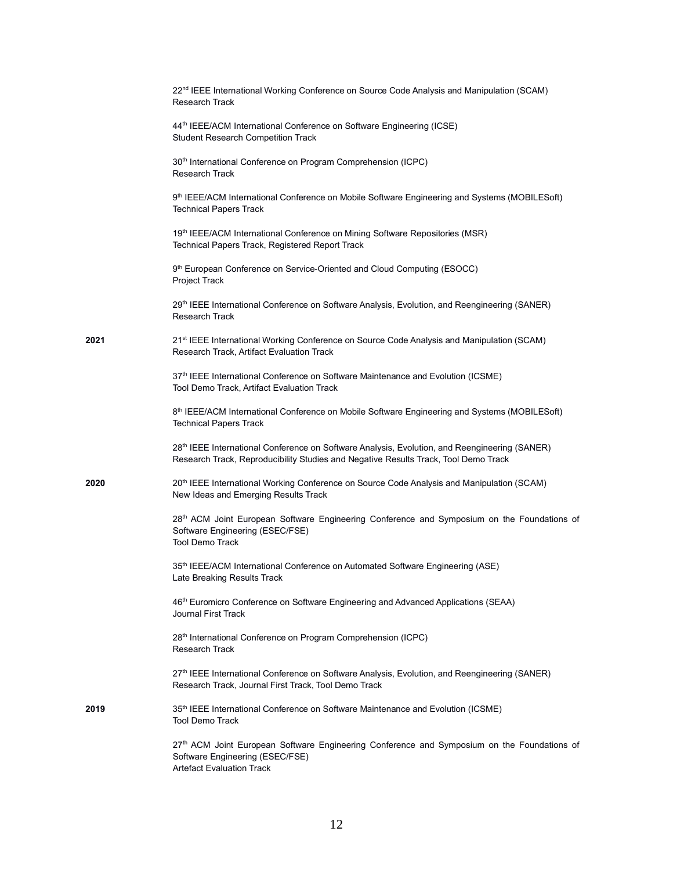|      | 22 <sup>nd</sup> IEEE International Working Conference on Source Code Analysis and Manipulation (SCAM)<br>Research Track                                                             |
|------|--------------------------------------------------------------------------------------------------------------------------------------------------------------------------------------|
|      | 44 <sup>th</sup> IEEE/ACM International Conference on Software Engineering (ICSE)<br><b>Student Research Competition Track</b>                                                       |
|      | 30 <sup>th</sup> International Conference on Program Comprehension (ICPC)<br>Research Track                                                                                          |
|      | 9th IEEE/ACM International Conference on Mobile Software Engineering and Systems (MOBILESoft)<br><b>Technical Papers Track</b>                                                       |
|      | 19th IEEE/ACM International Conference on Mining Software Repositories (MSR)<br>Technical Papers Track, Registered Report Track                                                      |
|      | 9 <sup>th</sup> European Conference on Service-Oriented and Cloud Computing (ESOCC)<br>Project Track                                                                                 |
|      | 29th IEEE International Conference on Software Analysis, Evolution, and Reengineering (SANER)<br>Research Track                                                                      |
| 2021 | 21 <sup>st</sup> IEEE International Working Conference on Source Code Analysis and Manipulation (SCAM)<br>Research Track, Artifact Evaluation Track                                  |
|      | 37 <sup>th</sup> IEEE International Conference on Software Maintenance and Evolution (ICSME)<br>Tool Demo Track, Artifact Evaluation Track                                           |
|      | 8 <sup>th</sup> IEEE/ACM International Conference on Mobile Software Engineering and Systems (MOBILESoft)<br><b>Technical Papers Track</b>                                           |
|      | 28th IEEE International Conference on Software Analysis, Evolution, and Reengineering (SANER)<br>Research Track, Reproducibility Studies and Negative Results Track, Tool Demo Track |
| 2020 | 20 <sup>th</sup> IEEE International Working Conference on Source Code Analysis and Manipulation (SCAM)<br>New Ideas and Emerging Results Track                                       |
|      | 28 <sup>th</sup> ACM Joint European Software Engineering Conference and Symposium on the Foundations of<br>Software Engineering (ESEC/FSE)<br><b>Tool Demo Track</b>                 |
|      | 35th IEEE/ACM International Conference on Automated Software Engineering (ASE)<br>Late Breaking Results Track                                                                        |
|      | 46th Euromicro Conference on Software Engineering and Advanced Applications (SEAA)<br><b>Journal First Track</b>                                                                     |
|      | 28 <sup>th</sup> International Conference on Program Comprehension (ICPC)<br>Research Track                                                                                          |
|      | 27th IEEE International Conference on Software Analysis, Evolution, and Reengineering (SANER)<br>Research Track, Journal First Track, Tool Demo Track                                |
| 2019 | 35th IEEE International Conference on Software Maintenance and Evolution (ICSME)<br><b>Tool Demo Track</b>                                                                           |
|      | 27th ACM Joint European Software Engineering Conference and Symposium on the Foundations of<br>Software Engineering (ESEC/FSE)<br><b>Artefact Evaluation Track</b>                   |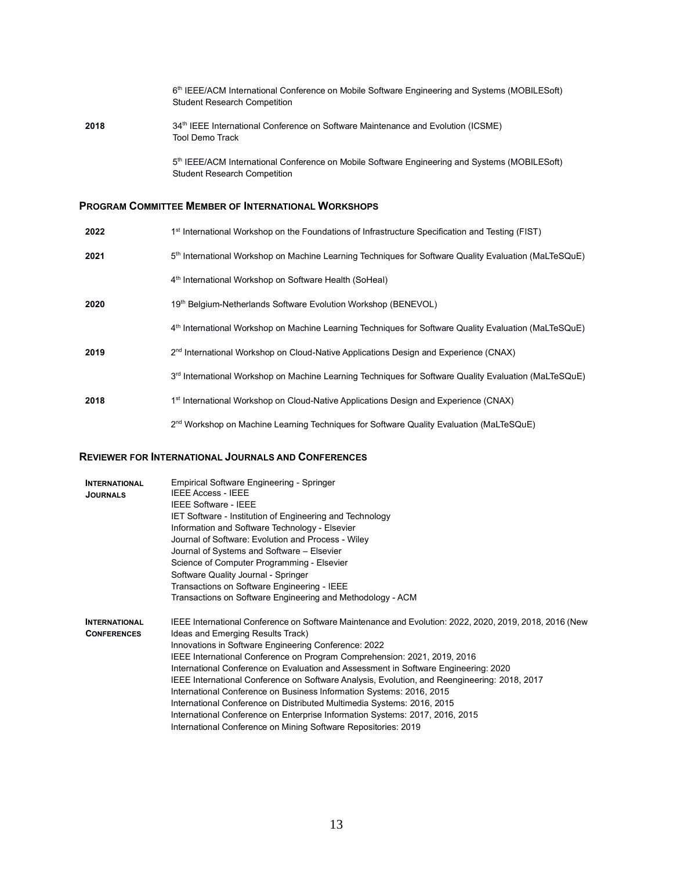6<sup>th</sup> IEEE/ACM International Conference on Mobile Software Engineering and Systems (MOBILESoft) Student Research Competition 2018 34<sup>th</sup> IEEE International Conference on Software Maintenance and Evolution (ICSME) Tool Demo Track 5<sup>th</sup> IEEE/ACM International Conference on Mobile Software Engineering and Systems (MOBILESoft) Student Research Competition

## **PROGRAM COMMITTEE MEMBER OF INTERNATIONAL WORKSHOPS**

| 2022 | 1 <sup>st</sup> International Workshop on the Foundations of Infrastructure Specification and Testing (FIST)      |
|------|-------------------------------------------------------------------------------------------------------------------|
| 2021 | 5 <sup>th</sup> International Workshop on Machine Learning Techniques for Software Quality Evaluation (MaLTeSQuE) |
|      | 4th International Workshop on Software Health (SoHeal)                                                            |
| 2020 | 19th Belgium-Netherlands Software Evolution Workshop (BENEVOL)                                                    |
|      | 4th International Workshop on Machine Learning Techniques for Software Quality Evaluation (MaLTeSQuE)             |
| 2019 | 2 <sup>nd</sup> International Workshop on Cloud-Native Applications Design and Experience (CNAX)                  |
|      | 3 <sup>rd</sup> International Workshop on Machine Learning Techniques for Software Quality Evaluation (MaLTeSQuE) |
| 2018 | 1 <sup>st</sup> International Workshop on Cloud-Native Applications Design and Experience (CNAX)                  |
|      | 2 <sup>nd</sup> Workshop on Machine Learning Techniques for Software Quality Evaluation (MaLTeSQuE)               |

## **REVIEWER FOR INTERNATIONAL JOURNALS AND CONFERENCES**

| <b>INTERNATIONAL</b><br><b>JOURNALS</b>    | <b>Empirical Software Engineering - Springer</b><br><b>IEEE Access - IEEE</b><br><b>IEEE Software - IEEE</b><br>IET Software - Institution of Engineering and Technology<br>Information and Software Technology - Elsevier<br>Journal of Software: Evolution and Process - Wiley<br>Journal of Systems and Software - Elsevier<br>Science of Computer Programming - Elsevier<br>Software Quality Journal - Springer<br>Transactions on Software Engineering - IEEE<br>Transactions on Software Engineering and Methodology - ACM                                                                                                                                                                                                                                           |
|--------------------------------------------|----------------------------------------------------------------------------------------------------------------------------------------------------------------------------------------------------------------------------------------------------------------------------------------------------------------------------------------------------------------------------------------------------------------------------------------------------------------------------------------------------------------------------------------------------------------------------------------------------------------------------------------------------------------------------------------------------------------------------------------------------------------------------|
| <b>INTERNATIONAL</b><br><b>CONFERENCES</b> | IEEE International Conference on Software Maintenance and Evolution: 2022, 2020, 2019, 2018, 2016 (New<br>Ideas and Emerging Results Track)<br>Innovations in Software Engineering Conference: 2022<br>IEEE International Conference on Program Comprehension: 2021, 2019, 2016<br>International Conference on Evaluation and Assessment in Software Engineering: 2020<br>IEEE International Conference on Software Analysis, Evolution, and Reengineering: 2018, 2017<br>International Conference on Business Information Systems: 2016, 2015<br>International Conference on Distributed Multimedia Systems: 2016, 2015<br>International Conference on Enterprise Information Systems: 2017, 2016, 2015<br>International Conference on Mining Software Repositories: 2019 |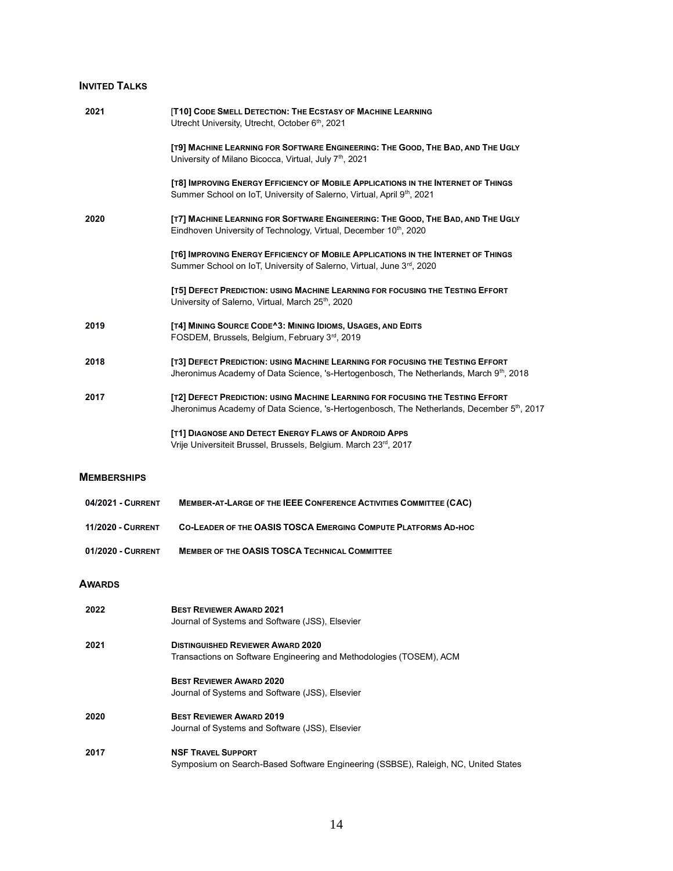## **INVITED TALKS**

| 2021                     | [T10] CODE SMELL DETECTION: THE ECSTASY OF MACHINE LEARNING<br>Utrecht University, Utrecht, October 6th, 2021                                                                            |
|--------------------------|------------------------------------------------------------------------------------------------------------------------------------------------------------------------------------------|
|                          | [T9] MACHINE LEARNING FOR SOFTWARE ENGINEERING: THE GOOD, THE BAD, AND THE UGLY<br>University of Milano Bicocca, Virtual, July 7 <sup>th</sup> , 2021                                    |
|                          | [T8] IMPROVING ENERGY EFFICIENCY OF MOBILE APPLICATIONS IN THE INTERNET OF THINGS<br>Summer School on IoT, University of Salerno, Virtual, April 9th, 2021                               |
| 2020                     | [T7] MACHINE LEARNING FOR SOFTWARE ENGINEERING: THE GOOD, THE BAD, AND THE UGLY<br>Eindhoven University of Technology, Virtual, December 10th, 2020                                      |
|                          | [T6] IMPROVING ENERGY EFFICIENCY OF MOBILE APPLICATIONS IN THE INTERNET OF THINGS<br>Summer School on IoT, University of Salerno, Virtual, June 3rd, 2020                                |
|                          | [T5] DEFECT PREDICTION: USING MACHINE LEARNING FOR FOCUSING THE TESTING EFFORT<br>University of Salerno, Virtual, March 25 <sup>th</sup> , 2020                                          |
| 2019                     | [T4] MINING SOURCE CODE^3: MINING IDIOMS, USAGES, AND EDITS<br>FOSDEM, Brussels, Belgium, February 3rd, 2019                                                                             |
| 2018                     | [T3] DEFECT PREDICTION: USING MACHINE LEARNING FOR FOCUSING THE TESTING EFFORT<br>Jheronimus Academy of Data Science, 's-Hertogenbosch, The Netherlands, March 9th, 2018                 |
| 2017                     | [T2] DEFECT PREDICTION: USING MACHINE LEARNING FOR FOCUSING THE TESTING EFFORT<br>Jheronimus Academy of Data Science, 's-Hertogenbosch, The Netherlands, December 5 <sup>th</sup> , 2017 |
|                          | [T1] DIAGNOSE AND DETECT ENERGY FLAWS OF ANDROID APPS<br>Vrije Universiteit Brussel, Brussels, Belgium. March 23rd, 2017                                                                 |
| <b>MEMBERSHIPS</b>       |                                                                                                                                                                                          |
| 04/2021 - CURRENT        | MEMBER-AT-LARGE OF THE IEEE CONFERENCE ACTIVITIES COMMITTEE (CAC)                                                                                                                        |
| <b>11/2020 - CURRENT</b> | CO-LEADER OF THE OASIS TOSCA EMERGING COMPUTE PLATFORMS AD-HOC                                                                                                                           |
| 01/2020 - CURRENT        | <b>MEMBER OF THE OASIS TOSCA TECHNICAL COMMITTEE</b>                                                                                                                                     |
| <b>AWARDS</b>            |                                                                                                                                                                                          |
| 2022                     | <b>BEST REVIEWER AWARD 2021</b><br>Journal of Systems and Software (JSS), Elsevier                                                                                                       |
| 2021                     | <b>DISTINGUISHED REVIEWER AWARD 2020</b><br>Transactions on Software Engineering and Methodologies (TOSEM), ACM                                                                          |
|                          | <b>BEST REVIEWER AWARD 2020</b><br>Journal of Systems and Software (JSS), Elsevier                                                                                                       |
| 2020                     | <b>BEST REVIEWER AWARD 2019</b><br>Journal of Systems and Software (JSS), Elsevier                                                                                                       |
| 2017                     | <b>NSF TRAVEL SUPPORT</b><br>Symposium on Search-Based Software Engineering (SSBSE), Raleigh, NC, United States                                                                          |